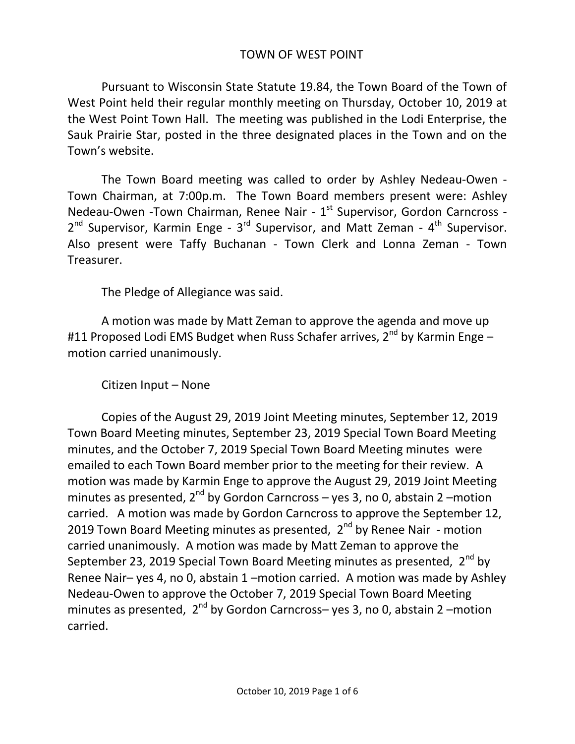## TOWN OF WEST POINT

Pursuant to Wisconsin State Statute 19.84, the Town Board of the Town of West Point held their regular monthly meeting on Thursday, October 10, 2019 at the West Point Town Hall. The meeting was published in the Lodi Enterprise, the Sauk Prairie Star, posted in the three designated places in the Town and on the Town's website.

The Town Board meeting was called to order by Ashley Nedeau-Owen - Town Chairman, at 7:00p.m. The Town Board members present were: Ashley Nedeau-Owen -Town Chairman, Renee Nair - 1<sup>st</sup> Supervisor, Gordon Carncross -2<sup>nd</sup> Supervisor, Karmin Enge - 3<sup>rd</sup> Supervisor, and Matt Zeman - 4<sup>th</sup> Supervisor. Also present were Taffy Buchanan - Town Clerk and Lonna Zeman - Town Treasurer.

The Pledge of Allegiance was said.

A motion was made by Matt Zeman to approve the agenda and move up #11 Proposed Lodi EMS Budget when Russ Schafer arrives, 2<sup>nd</sup> by Karmin Enge – motion carried unanimously.

Citizen Input – None

Copies of the August 29, 2019 Joint Meeting minutes, September 12, 2019 Town Board Meeting minutes, September 23, 2019 Special Town Board Meeting minutes, and the October 7, 2019 Special Town Board Meeting minutes were emailed to each Town Board member prior to the meeting for their review. A motion was made by Karmin Enge to approve the August 29, 2019 Joint Meeting minutes as presented,  $2^{nd}$  by Gordon Carncross – yes 3, no 0, abstain 2 –motion carried. A motion was made by Gordon Carncross to approve the September 12, 2019 Town Board Meeting minutes as presented,  $2^{nd}$  by Renee Nair - motion carried unanimously. A motion was made by Matt Zeman to approve the September 23, 2019 Special Town Board Meeting minutes as presented, 2<sup>nd</sup> by Renee Nair– yes 4, no 0, abstain 1 –motion carried. A motion was made by Ashley Nedeau-Owen to approve the October 7, 2019 Special Town Board Meeting minutes as presented,  $2^{nd}$  by Gordon Carncross– yes 3, no 0, abstain 2 –motion carried.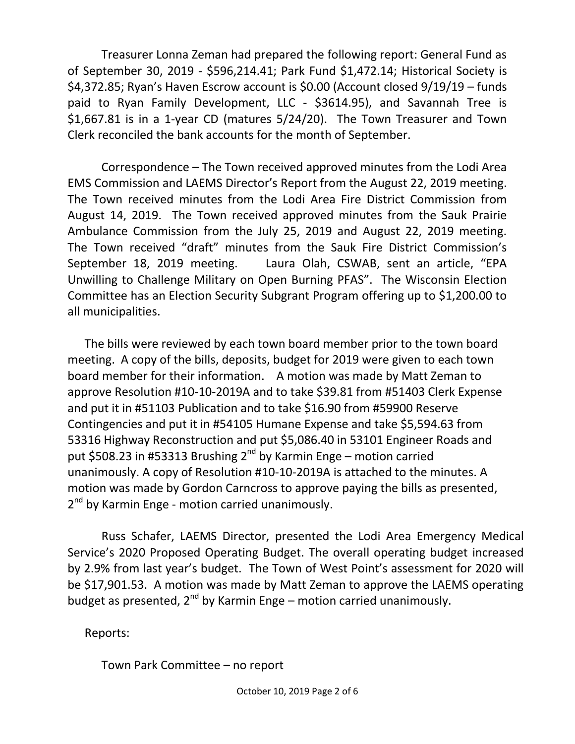Treasurer Lonna Zeman had prepared the following report: General Fund as of September 30, 2019 - \$596,214.41; Park Fund \$1,472.14; Historical Society is \$4,372.85; Ryan's Haven Escrow account is \$0.00 (Account closed 9/19/19 – funds paid to Ryan Family Development, LLC - \$3614.95), and Savannah Tree is \$1,667.81 is in a 1-year CD (matures 5/24/20). The Town Treasurer and Town Clerk reconciled the bank accounts for the month of September.

Correspondence – The Town received approved minutes from the Lodi Area EMS Commission and LAEMS Director's Report from the August 22, 2019 meeting. The Town received minutes from the Lodi Area Fire District Commission from August 14, 2019. The Town received approved minutes from the Sauk Prairie Ambulance Commission from the July 25, 2019 and August 22, 2019 meeting. The Town received "draft" minutes from the Sauk Fire District Commission's September 18, 2019 meeting. Laura Olah, CSWAB, sent an article, "EPA Unwilling to Challenge Military on Open Burning PFAS". The Wisconsin Election Committee has an Election Security Subgrant Program offering up to \$1,200.00 to all municipalities.

The bills were reviewed by each town board member prior to the town board meeting. A copy of the bills, deposits, budget for 2019 were given to each town board member for their information. A motion was made by Matt Zeman to approve Resolution #10-10-2019A and to take \$39.81 from #51403 Clerk Expense and put it in #51103 Publication and to take \$16.90 from #59900 Reserve Contingencies and put it in #54105 Humane Expense and take \$5,594.63 from 53316 Highway Reconstruction and put \$5,086.40 in 53101 Engineer Roads and put \$508.23 in #53313 Brushing 2<sup>nd</sup> by Karmin Enge – motion carried unanimously. A copy of Resolution #10-10-2019A is attached to the minutes. A motion was made by Gordon Carncross to approve paying the bills as presented, 2<sup>nd</sup> by Karmin Enge - motion carried unanimously.

Russ Schafer, LAEMS Director, presented the Lodi Area Emergency Medical Service's 2020 Proposed Operating Budget. The overall operating budget increased by 2.9% from last year's budget. The Town of West Point's assessment for 2020 will be \$17,901.53. A motion was made by Matt Zeman to approve the LAEMS operating budget as presented,  $2^{nd}$  by Karmin Enge – motion carried unanimously.

Reports:

Town Park Committee – no report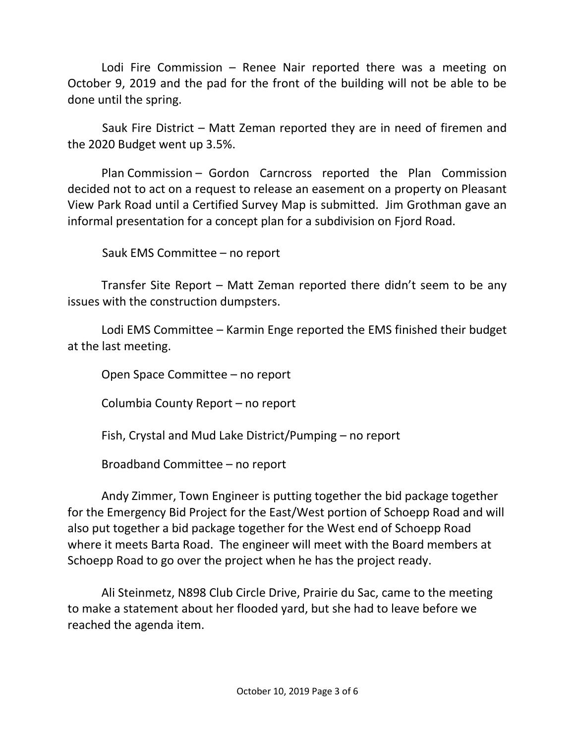Lodi Fire Commission – Renee Nair reported there was a meeting on October 9, 2019 and the pad for the front of the building will not be able to be done until the spring.

 Sauk Fire District – Matt Zeman reported they are in need of firemen and the 2020 Budget went up 3.5%.

Plan Commission – Gordon Carncross reported the Plan Commission decided not to act on a request to release an easement on a property on Pleasant View Park Road until a Certified Survey Map is submitted. Jim Grothman gave an informal presentation for a concept plan for a subdivision on Fjord Road.

Sauk EMS Committee – no report

Transfer Site Report – Matt Zeman reported there didn't seem to be any issues with the construction dumpsters.

Lodi EMS Committee – Karmin Enge reported the EMS finished their budget at the last meeting.

Open Space Committee – no report

Columbia County Report – no report

Fish, Crystal and Mud Lake District/Pumping – no report

Broadband Committee – no report

Andy Zimmer, Town Engineer is putting together the bid package together for the Emergency Bid Project for the East/West portion of Schoepp Road and will also put together a bid package together for the West end of Schoepp Road where it meets Barta Road. The engineer will meet with the Board members at Schoepp Road to go over the project when he has the project ready.

Ali Steinmetz, N898 Club Circle Drive, Prairie du Sac, came to the meeting to make a statement about her flooded yard, but she had to leave before we reached the agenda item.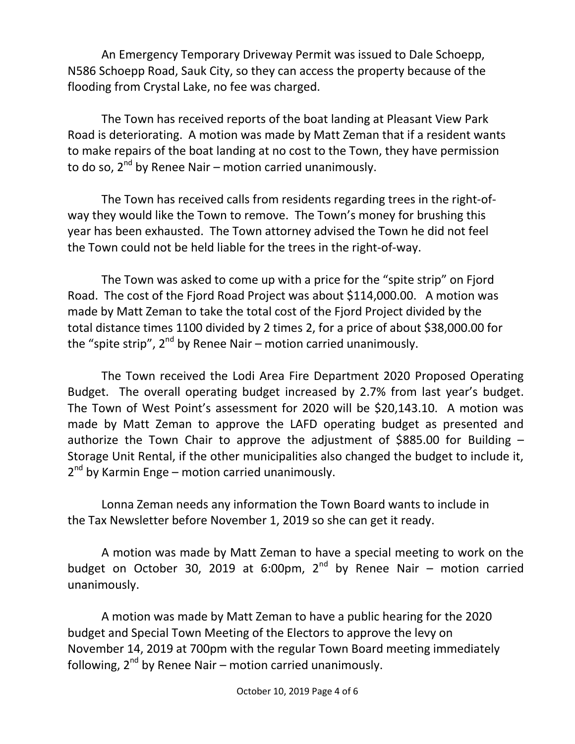An Emergency Temporary Driveway Permit was issued to Dale Schoepp, N586 Schoepp Road, Sauk City, so they can access the property because of the flooding from Crystal Lake, no fee was charged.

The Town has received reports of the boat landing at Pleasant View Park Road is deteriorating. A motion was made by Matt Zeman that if a resident wants to make repairs of the boat landing at no cost to the Town, they have permission to do so,  $2^{nd}$  by Renee Nair – motion carried unanimously.

The Town has received calls from residents regarding trees in the right-ofway they would like the Town to remove. The Town's money for brushing this year has been exhausted. The Town attorney advised the Town he did not feel the Town could not be held liable for the trees in the right-of-way.

The Town was asked to come up with a price for the "spite strip" on Fjord Road. The cost of the Fjord Road Project was about \$114,000.00. A motion was made by Matt Zeman to take the total cost of the Fjord Project divided by the total distance times 1100 divided by 2 times 2, for a price of about \$38,000.00 for the "spite strip",  $2^{nd}$  by Renee Nair – motion carried unanimously.

The Town received the Lodi Area Fire Department 2020 Proposed Operating Budget. The overall operating budget increased by 2.7% from last year's budget. The Town of West Point's assessment for 2020 will be \$20,143.10. A motion was made by Matt Zeman to approve the LAFD operating budget as presented and authorize the Town Chair to approve the adjustment of \$885.00 for Building  $-$ Storage Unit Rental, if the other municipalities also changed the budget to include it, 2<sup>nd</sup> by Karmin Enge – motion carried unanimously.

Lonna Zeman needs any information the Town Board wants to include in the Tax Newsletter before November 1, 2019 so she can get it ready.

A motion was made by Matt Zeman to have a special meeting to work on the budget on October 30, 2019 at 6:00pm,  $2^{nd}$  by Renee Nair – motion carried unanimously.

A motion was made by Matt Zeman to have a public hearing for the 2020 budget and Special Town Meeting of the Electors to approve the levy on November 14, 2019 at 700pm with the regular Town Board meeting immediately following,  $2^{nd}$  by Renee Nair – motion carried unanimously.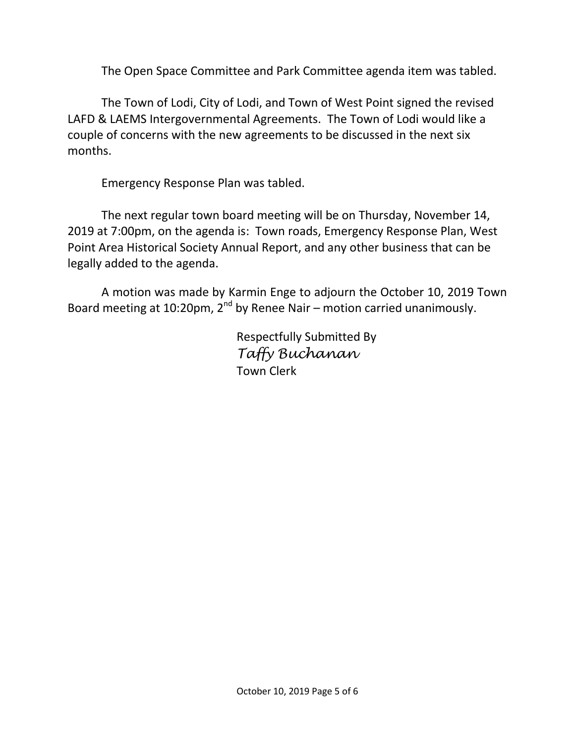The Open Space Committee and Park Committee agenda item was tabled.

The Town of Lodi, City of Lodi, and Town of West Point signed the revised LAFD & LAEMS Intergovernmental Agreements. The Town of Lodi would like a couple of concerns with the new agreements to be discussed in the next six months.

Emergency Response Plan was tabled.

The next regular town board meeting will be on Thursday, November 14, 2019 at 7:00pm, on the agenda is: Town roads, Emergency Response Plan, West Point Area Historical Society Annual Report, and any other business that can be legally added to the agenda.

A motion was made by Karmin Enge to adjourn the October 10, 2019 Town Board meeting at 10:20pm,  $2^{nd}$  by Renee Nair – motion carried unanimously.

> Respectfully Submitted By *Taffy Buchanan* Town Clerk